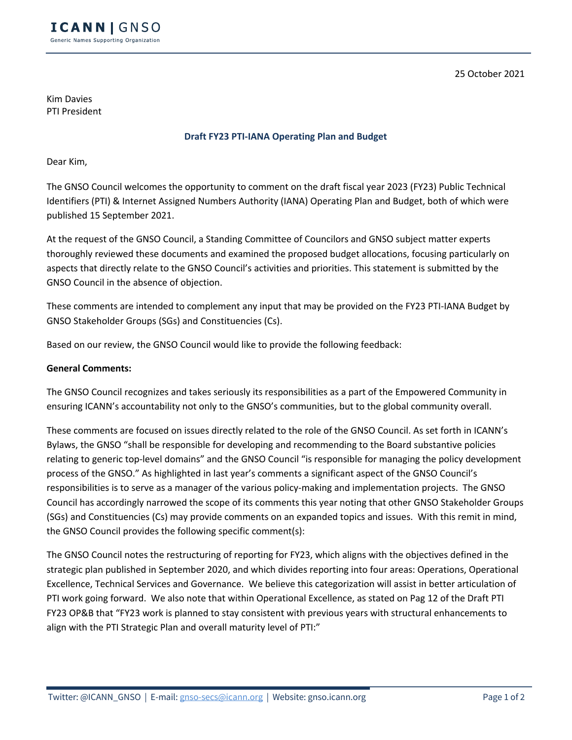25 October 2021

Kim Davies PTI President

## **Draft FY23 PTI-IANA Operating Plan and Budget**

Dear Kim,

The GNSO Council welcomes the opportunity to comment on the draft fiscal year 2023 (FY23) Public Technical Identifiers (PTI) & Internet Assigned Numbers Authority (IANA) Operating Plan and Budget, both of which were published 15 September 2021.

At the request of the GNSO Council, a Standing Committee of Councilors and GNSO subject matter experts thoroughly reviewed these documents and examined the proposed budget allocations, focusing particularly on aspects that directly relate to the GNSO Council's activities and priorities. This statement is submitted by the GNSO Council in the absence of objection.

These comments are intended to complement any input that may be provided on the FY23 PTI-IANA Budget by GNSO Stakeholder Groups (SGs) and Constituencies (Cs).

Based on our review, the GNSO Council would like to provide the following feedback:

## **General Comments:**

The GNSO Council recognizes and takes seriously its responsibilities as a part of the Empowered Community in ensuring ICANN's accountability not only to the GNSO's communities, but to the global community overall.

These comments are focused on issues directly related to the role of the GNSO Council. As set forth in ICANN's Bylaws, the GNSO "shall be responsible for developing and recommending to the Board substantive policies relating to generic top-level domains" and the GNSO Council "is responsible for managing the policy development process of the GNSO." As highlighted in last year's comments a significant aspect of the GNSO Council's responsibilities is to serve as a manager of the various policy-making and implementation projects. The GNSO Council has accordingly narrowed the scope of its comments this year noting that other GNSO Stakeholder Groups (SGs) and Constituencies (Cs) may provide comments on an expanded topics and issues. With this remit in mind, the GNSO Council provides the following specific comment(s):

The GNSO Council notes the restructuring of reporting for FY23, which aligns with the objectives defined in the strategic plan published in September 2020, and which divides reporting into four areas: Operations, Operational Excellence, Technical Services and Governance. We believe this categorization will assist in better articulation of PTI work going forward. We also note that within Operational Excellence, as stated on Pag 12 of the Draft PTI FY23 OP&B that "FY23 work is planned to stay consistent with previous years with structural enhancements to align with the PTI Strategic Plan and overall maturity level of PTI:"